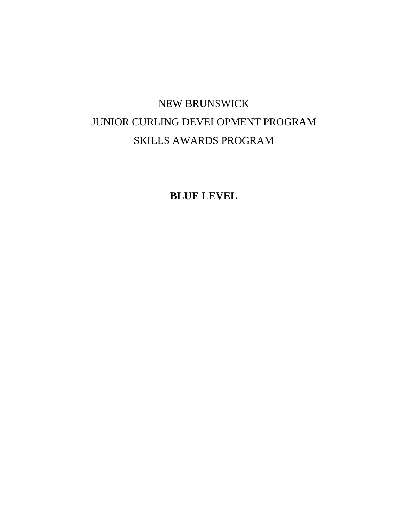# NEW BRUNSWICK JUNIOR CURLING DEVELOPMENT PROGRAM SKILLS AWARDS PROGRAM

**BLUE LEVEL**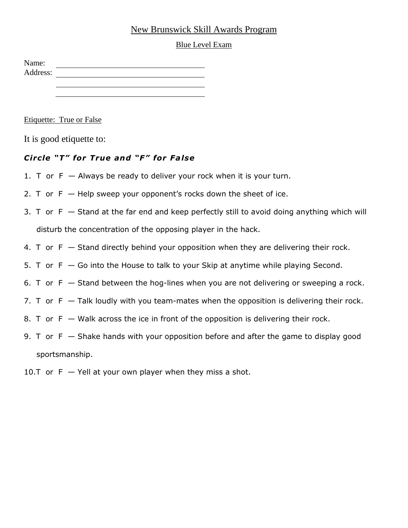## New Brunswick Skill Awards Program

#### Blue Level Exam

| Name:    |  |  |  |
|----------|--|--|--|
| Address: |  |  |  |
|          |  |  |  |
|          |  |  |  |

Etiquette: True or False

It is good etiquette to:

## *C ircle "T" for True and "F" for False*

- 1. T or  $F -$  Always be ready to deliver your rock when it is your turn.
- 2. T or  $F H$ elp sweep your opponent's rocks down the sheet of ice.
- 3. T or  $F -$  Stand at the far end and keep perfectly still to avoid doing anything which will disturb the concentration of the opposing player in the hack.
- 4. T or  $F -$  Stand directly behind your opposition when they are delivering their rock.
- 5. T or  $F G$ o into the House to talk to your Skip at anytime while playing Second.
- 6. T or  $F -$  Stand between the hog-lines when you are not delivering or sweeping a rock.
- 7. T or  $F -$  Talk loudly with you team-mates when the opposition is delivering their rock.
- 8. T or  $F W$ alk across the ice in front of the opposition is delivering their rock.
- 9. T or  $F S$ hake hands with your opposition before and after the game to display good sportsmanship.
- 10.T or  $F Y$ ell at your own player when they miss a shot.